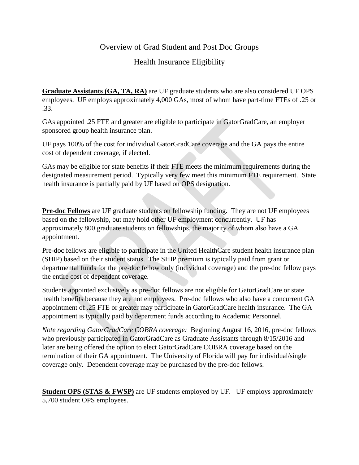## Overview of Grad Student and Post Doc Groups

## Health Insurance Eligibility

**Graduate Assistants (GA, TA, RA)** are UF graduate students who are also considered UF OPS employees. UF employs approximately 4,000 GAs, most of whom have part-time FTEs of .25 or .33.

GAs appointed .25 FTE and greater are eligible to participate in GatorGradCare, an employer sponsored group health insurance plan.

UF pays 100% of the cost for individual GatorGradCare coverage and the GA pays the entire cost of dependent coverage, if elected.

GAs may be eligible for state benefits if their FTE meets the minimum requirements during the designated measurement period. Typically very few meet this minimum FTE requirement. State health insurance is partially paid by UF based on OPS designation.

**Pre-doc Fellows** are UF graduate students on fellowship funding. They are not UF employees based on the fellowship, but may hold other UF employment concurrently. UF has approximately 800 graduate students on fellowships, the majority of whom also have a GA appointment.

Pre-doc fellows are eligible to participate in the United HealthCare student health insurance plan (SHIP) based on their student status. The SHIP premium is typically paid from grant or departmental funds for the pre-doc fellow only (individual coverage) and the pre-doc fellow pays the entire cost of dependent coverage.

Students appointed exclusively as pre-doc fellows are not eligible for GatorGradCare or state health benefits because they are not employees. Pre-doc fellows who also have a concurrent GA appointment of .25 FTE or greater may participate in GatorGradCare health insurance. The GA appointment is typically paid by department funds according to Academic Personnel.

*Note regarding GatorGradCare COBRA coverage:* Beginning August 16, 2016, pre-doc fellows who previously participated in GatorGradCare as Graduate Assistants through 8/15/2016 and later are being offered the option to elect GatorGradCare COBRA coverage based on the termination of their GA appointment. The University of Florida will pay for individual/single coverage only. Dependent coverage may be purchased by the pre-doc fellows.

**Student OPS (STAS & FWSP)** are UF students employed by UF. UF employs approximately 5,700 student OPS employees.